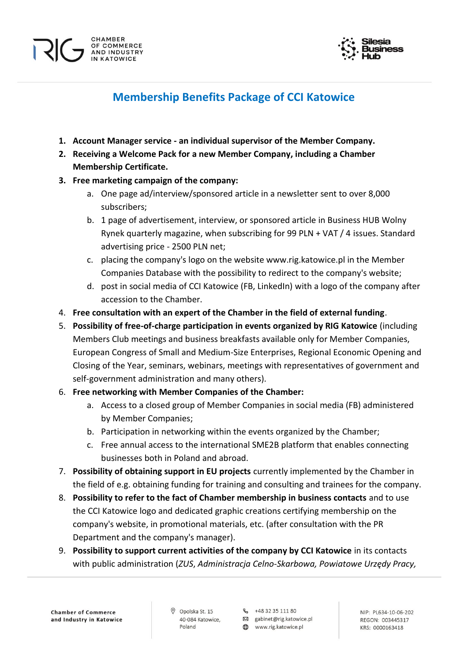

# **Membership Benefits Package of CCI Katowice**

- **1. Account Manager service - an individual supervisor of the Member Company.**
- **2. Receiving a Welcome Pack for a new Member Company, including a Chamber Membership Certificate.**
- **3. Free marketing campaign of the company:**

CHAMBER OF COMMERCE

**AND INDUSTRY** IN KATOWICE

- a. One page ad/interview/sponsored article in a newsletter sent to over 8,000 subscribers;
- b. 1 page of advertisement, interview, or sponsored article in Business HUB Wolny Rynek quarterly magazine, when subscribing for 99 PLN + VAT / 4 issues. Standard advertising price - 2500 PLN net;
- c. placing the company's logo on the website www.rig.katowice.pl in the Member Companies Database with the possibility to redirect to the company's website;
- d. post in social media of CCI Katowice (FB, LinkedIn) with a logo of the company after accession to the Chamber.
- 4. **Free consultation with an expert of the Chamber in the field of external funding**.
- 5. **Possibility of free-of-charge participation in events organized by RIG Katowice** (including Members Club meetings and business breakfasts available only for Member Companies, European Congress of Small and Medium-Size Enterprises, Regional Economic Opening and Closing of the Year, seminars, webinars, meetings with representatives of government and self-government administration and many others).
- 6. **Free networking with Member Companies of the Chamber:**
	- a. Access to a closed group of Member Companies in social media (FB) administered by Member Companies;
	- b. Participation in networking within the events organized by the Chamber;
	- c. Free annual access to the international SME2B platform that enables connecting businesses both in Poland and abroad.
- 7. **Possibility of obtaining support in EU projects** currently implemented by the Chamber in the field of e.g. obtaining funding for training and consulting and trainees for the company.
- 8. **Possibility to refer to the fact of Chamber membership in business contacts** and to use the CCI Katowice logo and dedicated graphic creations certifying membership on the company's website, in promotional materials, etc. (after consultation with the PR Department and the company's manager).
- 9. **Possibility to support current activities of the company by CCI Katowice** in its contacts with public administration (*ZUS*, *Administracja Celno-Skarbowa, Powiatowe Urzędy Pracy,*

**Chamber of Commerce** and Industry in Katowice Opolska St. 15 40-084 Katowice Poland

R<sub>2</sub> +48 32 35 111 80

図 gabinet@rig.katowice.pl

www.rig.katowice.pl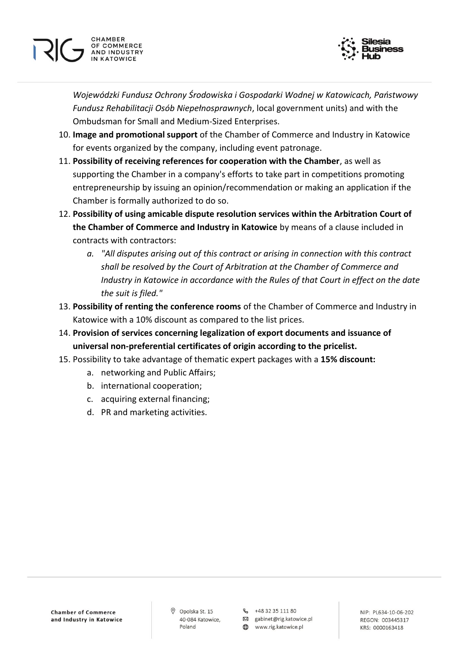

*Wojewódzki Fundusz Ochrony Środowiska i Gospodarki Wodnej w Katowicach, Państwowy Fundusz Rehabilitacji Osób Niepełnosprawnych*, local government units) and with the Ombudsman for Small and Medium-Sized Enterprises.

- 10. **Image and promotional support** of the Chamber of Commerce and Industry in Katowice for events organized by the company, including event patronage.
- 11. **Possibility of receiving references for cooperation with the Chamber**, as well as supporting the Chamber in a company's efforts to take part in competitions promoting entrepreneurship by issuing an opinion/recommendation or making an application if the Chamber is formally authorized to do so.
- 12. **Possibility of using amicable dispute resolution services within the Arbitration Court of the Chamber of Commerce and Industry in Katowice** by means of a clause included in contracts with contractors:
	- *a. "All disputes arising out of this contract or arising in connection with this contract shall be resolved by the Court of Arbitration at the Chamber of Commerce and Industry in Katowice in accordance with the Rules of that Court in effect on the date the suit is filed."*
- 13. **Possibility of renting the conference rooms** of the Chamber of Commerce and Industry in Katowice with a 10% discount as compared to the list prices.
- 14. **Provision of services concerning legalization of export documents and issuance of universal non-preferential certificates of origin according to the pricelist.**
- 15. Possibility to take advantage of thematic expert packages with a **15% discount:**
	- a. networking and Public Affairs;
	- b. international cooperation;

CHAMBER

OF COMMERCE

**AND INDUSTRY** IN KATOWICE

- c. acquiring external financing;
- d. PR and marketing activities.

Opolska St. 15 40-084 Katowice, Poland

R<sub>2</sub> +48 32 35 111 80 図 gabinet@rig.katowice.pl

www.rig.katowice.pl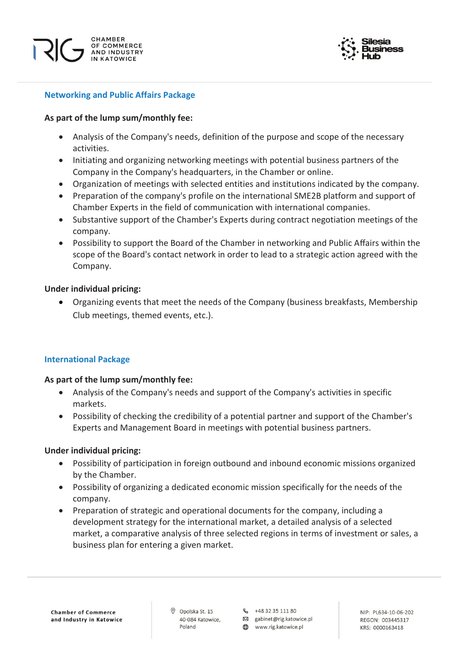



# **Networking and Public Affairs Package**

## **As part of the lump sum/monthly fee:**

- Analysis of the Company's needs, definition of the purpose and scope of the necessary activities.
- Initiating and organizing networking meetings with potential business partners of the Company in the Company's headquarters, in the Chamber or online.
- Organization of meetings with selected entities and institutions indicated by the company.
- Preparation of the company's profile on the international SME2B platform and support of Chamber Experts in the field of communication with international companies.
- Substantive support of the Chamber's Experts during contract negotiation meetings of the company.
- Possibility to support the Board of the Chamber in networking and Public Affairs within the scope of the Board's contact network in order to lead to a strategic action agreed with the Company.

## **Under individual pricing:**

• Organizing events that meet the needs of the Company (business breakfasts, Membership Club meetings, themed events, etc.).

# **International Package**

### **As part of the lump sum/monthly fee:**

- Analysis of the Company's needs and support of the Company's activities in specific markets.
- Possibility of checking the credibility of a potential partner and support of the Chamber's Experts and Management Board in meetings with potential business partners.

### **Under individual pricing:**

- Possibility of participation in foreign outbound and inbound economic missions organized by the Chamber.
- Possibility of organizing a dedicated economic mission specifically for the needs of the company.
- Preparation of strategic and operational documents for the company, including a development strategy for the international market, a detailed analysis of a selected market, a comparative analysis of three selected regions in terms of investment or sales, a business plan for entering a given market.

O Opolska St. 15 40-084 Katowice Poland

R<sub>2</sub> +48 32 35 111 80

図 gabinet@rig.katowice.pl www.rig.katowice.pl